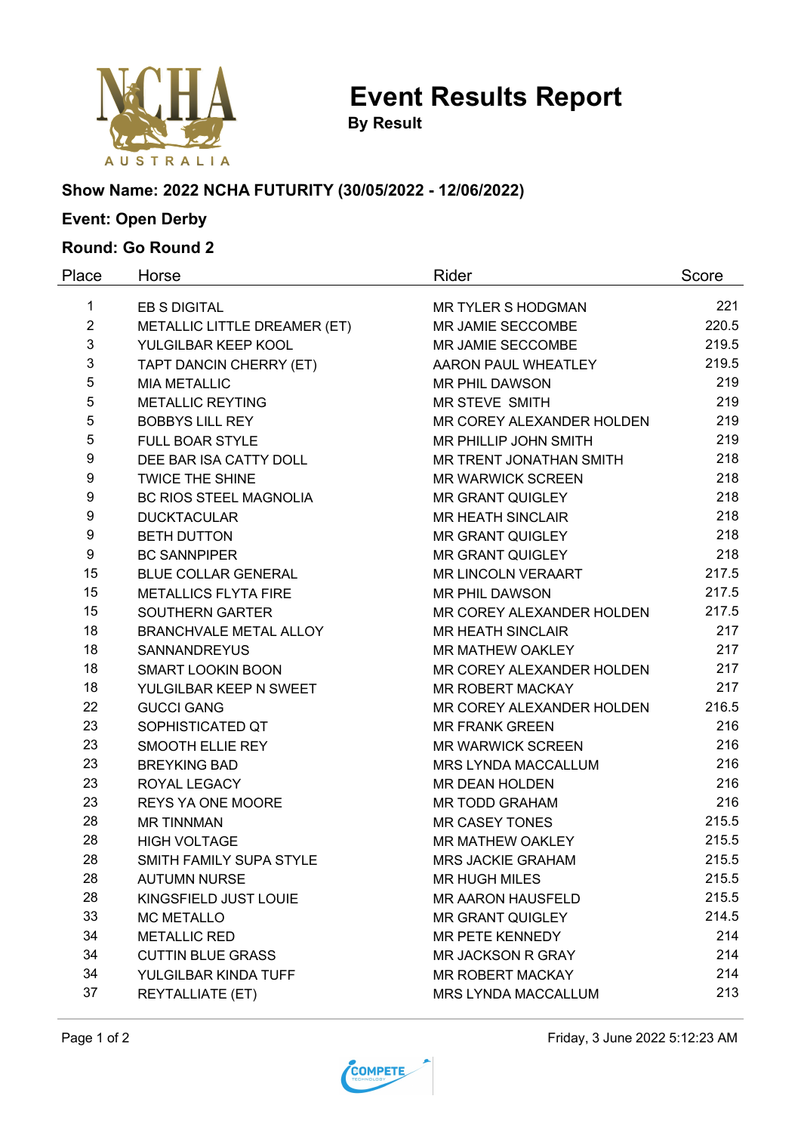

**Event Results Report**

**By Result**

# **Show Name: 2022 NCHA FUTURITY (30/05/2022 - 12/06/2022)**

# **Event: Open Derby**

### **Round: Go Round 2**

| Place          | Horse                         | Rider                     | Score |
|----------------|-------------------------------|---------------------------|-------|
| $\mathbf{1}$   | <b>EB S DIGITAL</b>           | MR TYLER S HODGMAN        | 221   |
| $\overline{2}$ | METALLIC LITTLE DREAMER (ET)  | MR JAMIE SECCOMBE         | 220.5 |
| 3              | YULGILBAR KEEP KOOL           | MR JAMIE SECCOMBE         | 219.5 |
| 3              | TAPT DANCIN CHERRY (ET)       | AARON PAUL WHEATLEY       | 219.5 |
| 5              | <b>MIA METALLIC</b>           | <b>MR PHIL DAWSON</b>     | 219   |
| 5              | <b>METALLIC REYTING</b>       | MR STEVE SMITH            | 219   |
| 5              | <b>BOBBYS LILL REY</b>        | MR COREY ALEXANDER HOLDEN | 219   |
| 5              | <b>FULL BOAR STYLE</b>        | MR PHILLIP JOHN SMITH     | 219   |
| 9              | DEE BAR ISA CATTY DOLL        | MR TRENT JONATHAN SMITH   | 218   |
| 9              | <b>TWICE THE SHINE</b>        | <b>MR WARWICK SCREEN</b>  | 218   |
| 9              | <b>BC RIOS STEEL MAGNOLIA</b> | <b>MR GRANT QUIGLEY</b>   | 218   |
| 9              | <b>DUCKTACULAR</b>            | <b>MR HEATH SINCLAIR</b>  | 218   |
| 9              | <b>BETH DUTTON</b>            | <b>MR GRANT QUIGLEY</b>   | 218   |
| 9              | <b>BC SANNPIPER</b>           | <b>MR GRANT QUIGLEY</b>   | 218   |
| 15             | <b>BLUE COLLAR GENERAL</b>    | MR LINCOLN VERAART        | 217.5 |
| 15             | <b>METALLICS FLYTA FIRE</b>   | <b>MR PHIL DAWSON</b>     | 217.5 |
| 15             | <b>SOUTHERN GARTER</b>        | MR COREY ALEXANDER HOLDEN | 217.5 |
| 18             | <b>BRANCHVALE METAL ALLOY</b> | <b>MR HEATH SINCLAIR</b>  | 217   |
| 18             | <b>SANNANDREYUS</b>           | MR MATHEW OAKLEY          | 217   |
| 18             | <b>SMART LOOKIN BOON</b>      | MR COREY ALEXANDER HOLDEN | 217   |
| 18             | YULGILBAR KEEP N SWEET        | <b>MR ROBERT MACKAY</b>   | 217   |
| 22             | <b>GUCCI GANG</b>             | MR COREY ALEXANDER HOLDEN | 216.5 |
| 23             | SOPHISTICATED QT              | <b>MR FRANK GREEN</b>     | 216   |
| 23             | SMOOTH ELLIE REY              | <b>MR WARWICK SCREEN</b>  | 216   |
| 23             | <b>BREYKING BAD</b>           | MRS LYNDA MACCALLUM       | 216   |
| 23             | ROYAL LEGACY                  | MR DEAN HOLDEN            | 216   |
| 23             | REYS YA ONE MOORE             | MR TODD GRAHAM            | 216   |
| 28             | <b>MR TINNMAN</b>             | <b>MR CASEY TONES</b>     | 215.5 |
| 28             | <b>HIGH VOLTAGE</b>           | MR MATHEW OAKLEY          | 215.5 |
| 28             | SMITH FAMILY SUPA STYLE       | <b>MRS JACKIE GRAHAM</b>  | 215.5 |
| 28             | <b>AUTUMN NURSE</b>           | <b>MR HUGH MILES</b>      | 215.5 |
| 28             | KINGSFIELD JUST LOUIE         | <b>MR AARON HAUSFELD</b>  | 215.5 |
| 33             | <b>MC METALLO</b>             | <b>MR GRANT QUIGLEY</b>   | 214.5 |
| 34             | <b>METALLIC RED</b>           | MR PETE KENNEDY           | 214   |
| 34             | <b>CUTTIN BLUE GRASS</b>      | <b>MR JACKSON R GRAY</b>  | 214   |
| 34             | YULGILBAR KINDA TUFF          | <b>MR ROBERT MACKAY</b>   | 214   |
| 37             | <b>REYTALLIATE (ET)</b>       | MRS LYNDA MACCALLUM       | 213   |